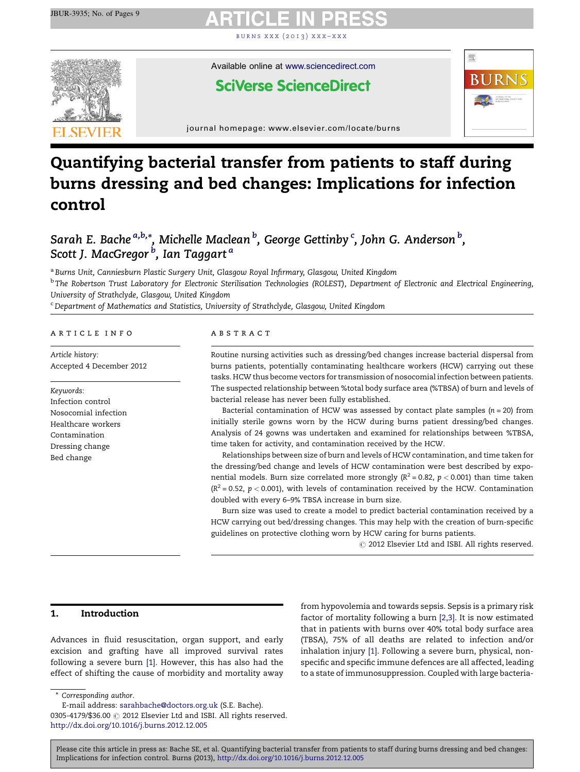$BURNSXXX (2013)XXX-XXX$ 



Available online at [www.sciencedirect.com](http://www.sciencedirect.com/science/journal/03054179)

**SciVerse ScienceDirect** 



journal homepage: www.elsevier.com/locate/burns

# Quantifying bacterial transfer from patients to staff during burns dressing and bed changes: Implications for infection control

Sarah E. Bache $^{a,b,*}$ , Michelle Maclean  $^b$ , George Gettinby  $^{\mathsf{c}}$ , John G. Anderson  $^b$ , Scott J. MacGregor <sup>b</sup>, Ian Taggart <sup>a</sup>

a Burns Unit, Canniesburn Plastic Surgery Unit, Glasgow Royal Infirmary, Glasgow, United Kingdom

<sup>b</sup> The Robertson Trust Laboratory for Electronic Sterilisation Technologies (ROLEST), Department of Electronic and Electrical Engineering, University of Strathclyde, Glasgow, United Kingdom

<sup>c</sup> Department of Mathematics and Statistics, University of Strathclyde, Glasgow, United Kingdom

# ARTICLE INFO

Article history: Accepted 4 December 2012

#### Keywords:

Infection control Nosocomial infection Healthcare workers Contamination Dressing change Bed change

### A B S T R A C T

Routine nursing activities such as dressing/bed changes increase bacterial dispersal from burns patients, potentially contaminating healthcare workers (HCW) carrying out these tasks. HCW thus become vectors for transmission of nosocomial infection between patients. The suspected relationship between %total body surface area (%TBSA) of burn and levels of bacterial release has never been fully established.

Bacterial contamination of HCW was assessed by contact plate samples ( $n = 20$ ) from initially sterile gowns worn by the HCW during burns patient dressing/bed changes. Analysis of 24 gowns was undertaken and examined for relationships between %TBSA, time taken for activity, and contamination received by the HCW.

Relationships between size of burn and levels of HCW contamination, and time taken for the dressing/bed change and levels of HCW contamination were best described by exponential models. Burn size correlated more strongly ( $R^2 = 0.82$ ,  $p < 0.001$ ) than time taken ( $R^2$  = 0.52, p < 0.001), with levels of contamination received by the HCW. Contamination doubled with every 6–9% TBSA increase in burn size.

Burn size was used to create a model to predict bacterial contamination received by a HCW carrying out bed/dressing changes. This may help with the creation of burn-specific guidelines on protective clothing worn by HCW caring for burns patients.

 $\odot$  2012 Elsevier Ltd and ISBI. All rights reserved.

# 1. Introduction

Advances in fluid resuscitation, organ support, and early excision and grafting have all improved survival rates following a severe burn [\[1\].](#page-7-0) However, this has also had the effect of shifting the cause of morbidity and mortality away

from hypovolemia and towards sepsis. Sepsis is a primary risk factor of mortality following a burn [\[2,3\]](#page-7-0). It is now estimated that in patients with burns over 40% total body surface area (TBSA), 75% of all deaths are related to infection and/or inhalation injury [\[1\]](#page-7-0). Following a severe burn, physical, nonspecific and specific immune defences are all affected, leading to a state of immunosuppression. Coupled with large bacteria-

\* Corresponding author.

E-mail address: [sarahbache@doctors.org.uk](mailto:sarahbache@doctors.org.uk) (S.E. Bache). 0305-4179/\$36.00  $\oslash$  2012 Elsevier Ltd and ISBI. All rights reserved. <http://dx.doi.org/10.1016/j.burns.2012.12.005>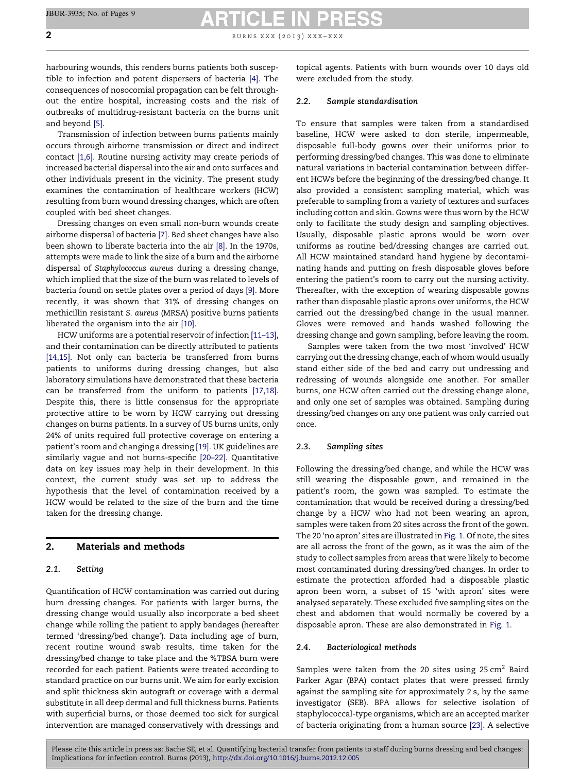harbouring wounds, this renders burns patients both susceptible to infection and potent dispersers of bacteria [\[4\]](#page-7-0). The consequences of nosocomial propagation can be felt throughout the entire hospital, increasing costs and the risk of outbreaks of multidrug-resistant bacteria on the burns unit and beyond [\[5\]](#page-7-0).

Transmission of infection between burns patients mainly occurs through airborne transmission or direct and indirect contact [\[1,6\]](#page-7-0). Routine nursing activity may create periods of increased bacterial dispersal into the air and onto surfaces and other individuals present in the vicinity. The present study examines the contamination of healthcare workers (HCW) resulting from burn wound dressing changes, which are often coupled with bed sheet changes.

Dressing changes on even small non-burn wounds create airborne dispersal of bacteria [\[7\].](#page-7-0) Bed sheet changes have also been shown to liberate bacteria into the air [\[8\]](#page-7-0). In the 1970s, attempts were made to link the size of a burn and the airborne dispersal of Staphylococcus aureus during a dressing change, which implied that the size of the burn was related to levels of bacteria found on settle plates over a period of days [\[9\].](#page-7-0) More recently, it was shown that 31% of dressing changes on methicillin resistant S. aureus (MRSA) positive burns patients liberated the organism into the air [\[10\].](#page-7-0)

HCW uniforms are a potential reservoir of infection [\[11–13\]](#page-7-0), and their contamination can be directly attributed to patients [\[14,15\].](#page-7-0) Not only can bacteria be transferred from burns patients to uniforms during dressing changes, but also laboratory simulations have demonstrated that these bacteria can be transferred from the uniform to patients [\[17,18\]](#page-7-0). Despite this, there is little consensus for the appropriate protective attire to be worn by HCW carrying out dressing changes on burns patients. In a survey of US burns units, only 24% of units required full protective coverage on entering a patient's room and changing a dressing [\[19\].](#page-7-0) UK guidelines are similarly vague and not burns-specific [\[20–22\].](#page-7-0) Quantitative data on key issues may help in their development. In this context, the current study was set up to address the hypothesis that the level of contamination received by a HCW would be related to the size of the burn and the time taken for the dressing change.

# 2. Materials and methods

### 2.1. Setting

Quantification of HCW contamination was carried out during burn dressing changes. For patients with larger burns, the dressing change would usually also incorporate a bed sheet change while rolling the patient to apply bandages (hereafter termed 'dressing/bed change'). Data including age of burn, recent routine wound swab results, time taken for the dressing/bed change to take place and the %TBSA burn were recorded for each patient. Patients were treated according to standard practice on our burns unit. We aim for early excision and split thickness skin autograft or coverage with a dermal substitute in all deep dermal and full thickness burns. Patients with superficial burns, or those deemed too sick for surgical intervention are managed conservatively with dressings and

topical agents. Patients with burn wounds over 10 days old were excluded from the study.

#### 2.2. Sample standardisation

To ensure that samples were taken from a standardised baseline, HCW were asked to don sterile, impermeable, disposable full-body gowns over their uniforms prior to performing dressing/bed changes. This was done to eliminate natural variations in bacterial contamination between different HCWs before the beginning of the dressing/bed change. It also provided a consistent sampling material, which was preferable to sampling from a variety of textures and surfaces including cotton and skin. Gowns were thus worn by the HCW only to facilitate the study design and sampling objectives. Usually, disposable plastic aprons would be worn over uniforms as routine bed/dressing changes are carried out. All HCW maintained standard hand hygiene by decontaminating hands and putting on fresh disposable gloves before entering the patient's room to carry out the nursing activity. Thereafter, with the exception of wearing disposable gowns rather than disposable plastic aprons over uniforms, the HCW carried out the dressing/bed change in the usual manner. Gloves were removed and hands washed following the dressing change and gown sampling, before leaving the room.

Samples were taken from the two most 'involved' HCW carrying out the dressing change, each of whom would usually stand either side of the bed and carry out undressing and redressing of wounds alongside one another. For smaller burns, one HCW often carried out the dressing change alone, and only one set of samples was obtained. Sampling during dressing/bed changes on any one patient was only carried out once.

### 2.3. Sampling sites

Following the dressing/bed change, and while the HCW was still wearing the disposable gown, and remained in the patient's room, the gown was sampled. To estimate the contamination that would be received during a dressing/bed change by a HCW who had not been wearing an apron, samples were taken from 20 sites across the front of the gown. The 20 'no apron' sites are illustrated in [Fig.](#page-2-0) 1. Of note, the sites are all across the front of the gown, as it was the aim of the study to collect samples from areas that were likely to become most contaminated during dressing/bed changes. In order to estimate the protection afforded had a disposable plastic apron been worn, a subset of 15 'with apron' sites were analysed separately. These excluded five sampling sites on the chest and abdomen that would normally be covered by a disposable apron. These are also demonstrated in [Fig.](#page-2-0) 1.

### 2.4. Bacteriological methods

Samples were taken from the 20 sites using 25  $cm<sup>2</sup>$  Baird Parker Agar (BPA) contact plates that were pressed firmly against the sampling site for approximately 2 s, by the same investigator (SEB). BPA allows for selective isolation of staphylococcal-type organisms, which are an accepted marker of bacteria originating from a human source [\[23\]](#page-8-0). A selective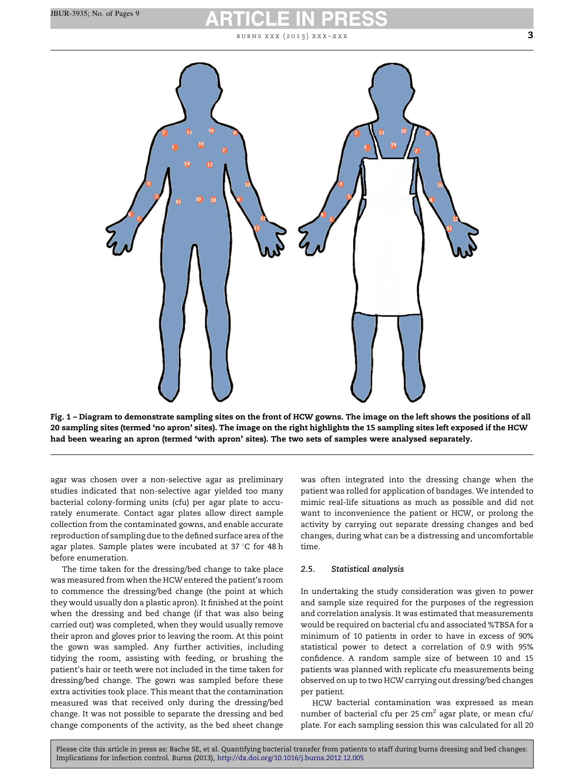#### BURNS XXX  $(2013)$  XXX-XXX  $3$

<span id="page-2-0"></span>

Fig. 1 – Diagram to demonstrate sampling sites on the front of HCW gowns. The image on the left shows the positions of all 20 sampling sites (termed 'no apron' sites). The image on the right highlights the 15 sampling sites left exposed if the HCW had been wearing an apron (termed 'with apron' sites). The two sets of samples were analysed separately.

agar was chosen over a non-selective agar as preliminary studies indicated that non-selective agar yielded too many bacterial colony-forming units (cfu) per agar plate to accurately enumerate. Contact agar plates allow direct sample collection from the contaminated gowns, and enable accurate reproduction of sampling due to the defined surface area of the agar plates. Sample plates were incubated at 37  $\degree$ C for 48 h before enumeration.

The time taken for the dressing/bed change to take place was measured from when the HCWentered the patient's room to commence the dressing/bed change (the point at which they would usually don a plastic apron). It finished at the point when the dressing and bed change (if that was also being carried out) was completed, when they would usually remove their apron and gloves prior to leaving the room. At this point the gown was sampled. Any further activities, including tidying the room, assisting with feeding, or brushing the patient's hair or teeth were not included in the time taken for dressing/bed change. The gown was sampled before these extra activities took place. This meant that the contamination measured was that received only during the dressing/bed change. It was not possible to separate the dressing and bed change components of the activity, as the bed sheet change

was often integrated into the dressing change when the patient was rolled for application of bandages. We intended to mimic real-life situations as much as possible and did not want to inconvenience the patient or HCW, or prolong the activity by carrying out separate dressing changes and bed changes, during what can be a distressing and uncomfortable time.

### 2.5. Statistical analysis

In undertaking the study consideration was given to power and sample size required for the purposes of the regression and correlation analysis. It was estimated that measurements would be required on bacterial cfu and associated %TBSA for a minimum of 10 patients in order to have in excess of 90% statistical power to detect a correlation of 0.9 with 95% confidence. A random sample size of between 10 and 15 patients was planned with replicate cfu measurements being observed on up to two HCW carrying out dressing/bed changes per patient.

HCW bacterial contamination was expressed as mean number of bacterial cfu per 25  $cm<sup>2</sup>$  agar plate, or mean cfu/ plate. For each sampling session this was calculated for all 20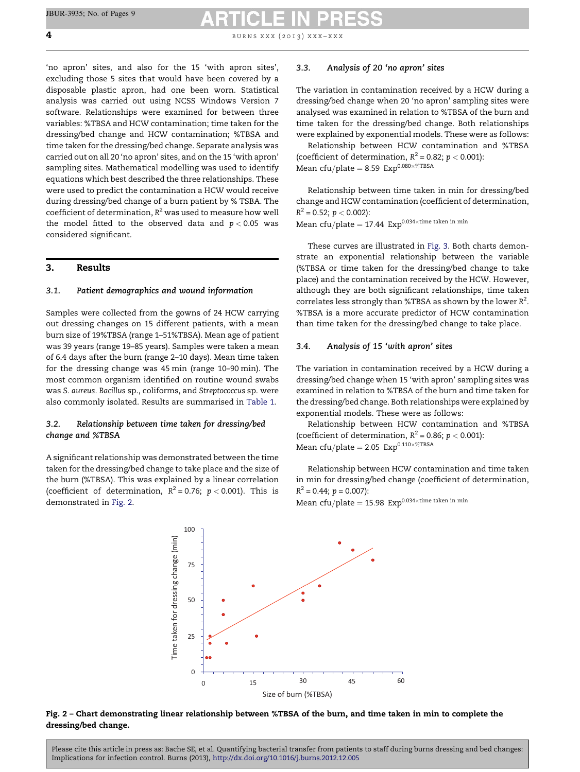<span id="page-3-0"></span> $\overline{\mathbf{4}}$  b u r n s x x x (2013) x x x – x x x

'no apron' sites, and also for the 15 'with apron sites', excluding those 5 sites that would have been covered by a disposable plastic apron, had one been worn. Statistical analysis was carried out using NCSS Windows Version 7 software. Relationships were examined for between three variables: %TBSA and HCW contamination; time taken for the dressing/bed change and HCW contamination; %TBSA and time taken for the dressing/bed change. Separate analysis was carried out on all 20 'no apron' sites, and on the 15 'with apron' sampling sites. Mathematical modelling was used to identify equations which best described the three relationships. These were used to predict the contamination a HCW would receive during dressing/bed change of a burn patient by % TSBA. The coefficient of determination,  $R^2$  was used to measure how well the model fitted to the observed data and  $p < 0.05$  was considered significant.

# 3. Results

### 3.1. Patient demographics and wound information

Samples were collected from the gowns of 24 HCW carrying out dressing changes on 15 different patients, with a mean burn size of 19%TBSA (range 1–51%TBSA). Mean age of patient was 39 years (range 19–85 years). Samples were taken a mean of 6.4 days after the burn (range 2–10 days). Mean time taken for the dressing change was 45 min (range 10–90 min). The most common organism identified on routine wound swabs was S. aureus. Bacillus sp., coliforms, and Streptococcus sp. were also commonly isolated. Results are summarised in [Table](#page-4-0) 1.

# 3.2. Relationship between time taken for dressing/bed change and %TBSA

A significant relationship was demonstrated between the time taken for the dressing/bed change to take place and the size of the burn (%TBSA). This was explained by a linear correlation (coefficient of determination,  $R^2 = 0.76$ ;  $p < 0.001$ ). This is demonstrated in Fig. 2.

# 3.3. Analysis of 20 'no apron' sites

The variation in contamination received by a HCW during a dressing/bed change when 20 'no apron' sampling sites were analysed was examined in relation to %TBSA of the burn and time taken for the dressing/bed change. Both relationships were explained by exponential models. These were as follows:

Relationship between HCW contamination and %TBSA (coefficient of determination,  $R^2$  = 0.82;  $p < 0.001$ ): Mean cfu/plate = 8.59  $Exp^{0.080\times\%TBSA}$ 

Relationship between time taken in min for dressing/bed change and HCW contamination (coefficient of determination,  $R^2$  = 0.52;  $p < 0.002$ ):

Mean cfu/plate =  $17.44$  Exp<sup>0.034 $\times$ time taken in min</sup>

These curves are illustrated in [Fig.](#page-5-0) 3. Both charts demonstrate an exponential relationship between the variable (%TBSA or time taken for the dressing/bed change to take place) and the contamination received by the HCW. However, although they are both significant relationships, time taken correlates less strongly than %TBSA as shown by the lower  $R^2$ . %TBSA is a more accurate predictor of HCW contamination than time taken for the dressing/bed change to take place.

#### 3.4. Analysis of 15 'with apron' sites

The variation in contamination received by a HCW during a dressing/bed change when 15 'with apron' sampling sites was examined in relation to %TBSA of the burn and time taken for the dressing/bed change. Both relationships were explained by exponential models. These were as follows:

Relationship between HCW contamination and %TBSA (coefficient of determination,  $R^2 = 0.86$ ;  $p < 0.001$ ): Mean cfu/plate = 2.05  $Exp^{0.110\times\%TBSA}$ 

Relationship between HCW contamination and time taken in min for dressing/bed change (coefficient of determination,  $R^2 = 0.44$ ;  $p = 0.007$ ):

Mean cfu/plate =  $15.98$  Exp<sup>0.034 $\times$ time taken in min</sup>



# Fig. 2 – Chart demonstrating linear relationship between %TBSA of the burn, and time taken in min to complete the dressing/bed change.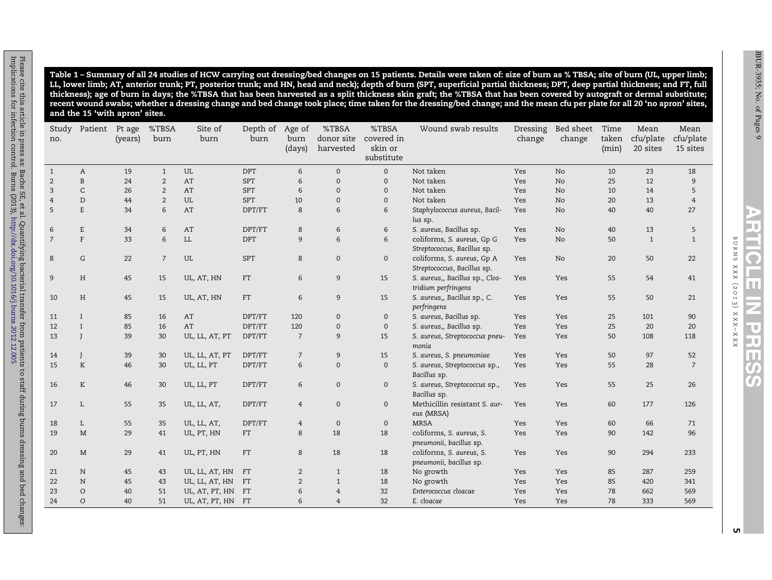<span id="page-4-0"></span>Table 1 - Summary of all 24 studies of HCW carrying out dressing/bed changes on 15 patients. Details were taken of: size of burn as % TBSA; site of burn (UL, upper limb; LL, lower limb; AT, anterior trunk; PT, posterior trunk; and HN, head and neck); depth of burn (SPT, superficial partial thickness; DPT, deep partial thickness; and FT, full thickness); age of burn in days; the %TBSA that has been harvested as <sup>a</sup> split thickness skin graft; the %TBSA that has been covered by autograft or dermal substitute; recent wound swabs; whether <sup>a</sup> dressing change and bed change took place; time taken for the dressing/bed change; and the mean cfu per plate for all 20 'no apron' sites, and the <sup>15</sup> 'with apron' sites.

| no.            | Study Patient Pt age | (years) | %TBSA<br>burn  | Site of<br>burn   | Depth of Age of<br>burn    | burn<br>(days) | %TBSA<br>donor site<br>harvested | %TBSA<br>covered in<br>skin or<br>substitute | Wound swab results                                        | Dressing<br>change | Bed sheet<br>change | Time<br>taken<br>(min) | Mean<br>cfu/plate<br>20 sites | Mean<br>cfu/plate<br>15 sites |
|----------------|----------------------|---------|----------------|-------------------|----------------------------|----------------|----------------------------------|----------------------------------------------|-----------------------------------------------------------|--------------------|---------------------|------------------------|-------------------------------|-------------------------------|
| $\mathbf{1}$   | $\mathsf{A}$         | 19      | $\mathbf{1}$   | UL                | <b>DPT</b>                 | 6              | $\mathbf{0}$                     | $\overline{0}$                               | Not taken                                                 | Yes                | No                  | 10                     | 23                            | 18                            |
| $\overline{2}$ | $\mathbf{B}$         | 24      | $\overline{2}$ | AT                | SPT                        | 6              | $\mathbf{0}$                     | $\mathbf 0$                                  | Not taken                                                 | Yes                | No                  | 25                     | 12                            | 9                             |
| $\overline{3}$ | $\mathsf{C}$         | 26      | 2              | AT                | SPT                        | 6              | $\mathbf{0}$                     | $\mathbf{0}$                                 | Not taken                                                 | Yes                | N <sub>o</sub>      | 10                     | 14                            | 5                             |
| $\overline{4}$ | D                    | 44      | $\overline{2}$ | <b>UL</b>         | SPT                        | 10             | $\mathbf{0}$                     | $\mathbf{0}$                                 | Not taken                                                 | Yes                | No                  | 20                     | 13                            | $\overline{4}$                |
| 5              | E                    | 34      | 6              | AT                | DPT/FT                     | 8              | 6                                | 6                                            | Staphylococcus aureus, Bacil-<br>lus sp.                  | Yes                | No                  | 40                     | 40                            | 27                            |
| 6              | E                    | 34      | 6              | AT                | DPT/FT                     | 8              | 6                                | 6                                            | S. aureus, Bacillus sp.                                   | Yes                | N <sub>o</sub>      | 40                     | 13                            | 5                             |
| $\overline{7}$ | $\mathbf{F}$         | 33      | 6              | LL                | <b>DPT</b>                 | 9              | 6                                | 6                                            | coliforms, S. aureus, Gp G<br>Streptococcus, Bacillus sp. | Yes                | N <sub>o</sub>      | 50                     | 1                             | $\mathbf{1}$                  |
| 8              | G                    | 22      | $\overline{7}$ | <b>UL</b>         | <b>SPT</b>                 | 8              | $\mathbf{0}$                     | $\overline{0}$                               | coliforms, S. aureus, Gp A<br>Streptococcus, Bacillus sp. | Yes                | No                  | 20                     | 50                            | 22                            |
| 9              | H                    | 45      | 15             | UL, AT, HN        | $\mathop{\rm FT}\nolimits$ | 6              | 9                                | 15                                           | S. aureus,, Bacillus sp., Clos-<br>tridium perfringens    | Yes                | Yes                 | 55                     | 54                            | 41                            |
| 10             | H                    | 45      | 15             | UL, AT, HN        | <b>FT</b>                  | $6\,$          | 9                                | 15                                           | S. aureus,, Bacillus sp., C.<br>perfringens               | Yes                | Yes                 | 55                     | 50                            | 21                            |
| 11             | $\mathbf{I}$         | 85      | 16             | AT                | DPT/FT                     | 120            | $\mathbf 0$                      | $\mathbf 0$                                  | S. aureus, Bacillus sp.                                   | Yes                | Yes                 | 25                     | 101                           | 90                            |
| 12             | $\mathbf{I}$         | 85      | 16             | AT                | DPT/FT                     | 120            | $\mathbf{0}$                     | $\mathbf 0$                                  | S. aureus,, Bacillus sp.                                  | Yes                | Yes                 | 25                     | 20                            | 20                            |
| 13             | J                    | 39      | 30             | UL, LL, AT, PT    | DPT/FT                     | $\overline{7}$ | 9                                | 15                                           | S. aureus, Streptococcus pneu-<br>monia                   | Yes                | Yes                 | 50                     | 108                           | 118                           |
| 14             | J                    | 39      | 30             | UL, LL, AT, PT    | DPT/FT                     | $\overline{7}$ | 9                                | 15                                           | S. aureus, S. pneumoniae                                  | Yes                | Yes                 | 50                     | 97                            | 52                            |
| 15             | K                    | 46      | 30             | UL, LL, PT        | DPT/FT                     | 6              | $\mathbf{0}$                     | $\mathbf{0}$                                 | S. aureus, Streptococcus sp.,<br>Bacillus sp.             | Yes                | Yes                 | 55                     | 28                            | $\overline{7}$                |
| 16             | K                    | 46      | 30             | UL, LL, PT        | DPT/FT                     | 6              | $\mathbf{0}$                     | $\mathbf{0}$                                 | S. aureus, Streptococcus sp.,<br>Bacillus sp.             | Yes                | Yes                 | 55                     | 25                            | 26                            |
| 17             | L                    | 55      | 35             | UL, LL, AT,       | DPT/FT                     | $\overline{4}$ | $\mathbf{0}$                     | $\mathbf{0}$                                 | Methicillin resistant S. aur-<br>eus (MRSA)               | Yes                | Yes                 | 60                     | 177                           | 126                           |
| 18             | L                    | 55      | 35             | UL, LL, AT,       | DPT/FT                     | $\overline{4}$ | $\mathbf 0$                      | $\mathbf 0$                                  | <b>MRSA</b>                                               | Yes                | Yes                 | 60                     | 66                            | 71                            |
| 19             | M                    | 29      | 41             | UL, PT, HN        | <b>FT</b>                  | 8              | 18                               | 18                                           | coliforms, S. aureus, S.<br>pneumonii, bacillus sp.       | Yes                | Yes                 | 90                     | 142                           | 96                            |
| 20             | M                    | 29      | 41             | UL, PT, HN        | <b>FT</b>                  | 8              | 18                               | 18                                           | coliforms, S. aureus, S.<br>pneumonii, bacillus sp.       | Yes                | Yes                 | 90                     | 294                           | 233                           |
| 21             | $\rm N$              | 45      | 43             | UL, LL, AT, HN    | FT                         | $\overline{2}$ | $\mathbf{1}$                     | 18                                           | No growth                                                 | Yes                | Yes                 | 85                     | 287                           | 259                           |
| 22             | $\rm N$              | 45      | 43             | UL, LL, AT, HN    | FT                         | $\overline{2}$ | $\mathbf{1}$                     | 18                                           | No growth                                                 | Yes                | Yes                 | 85                     | 420                           | 341                           |
| 23             | $\circ$              | 40      | 51             | UL, AT, PT, HN FT |                            | 6              | $\overline{4}$                   | 32                                           | Enterococcus cloacae                                      | Yes                | Yes                 | 78                     | 662                           | 569                           |
| 24             | $\circ$              | 40      | 51             | UL, AT, PT, HN FT |                            | 6              | $\overline{4}$                   | 32                                           | E. cloacae                                                | Yes                | Yes                 | 78                     | 333                           | 569                           |

Z

u u ٠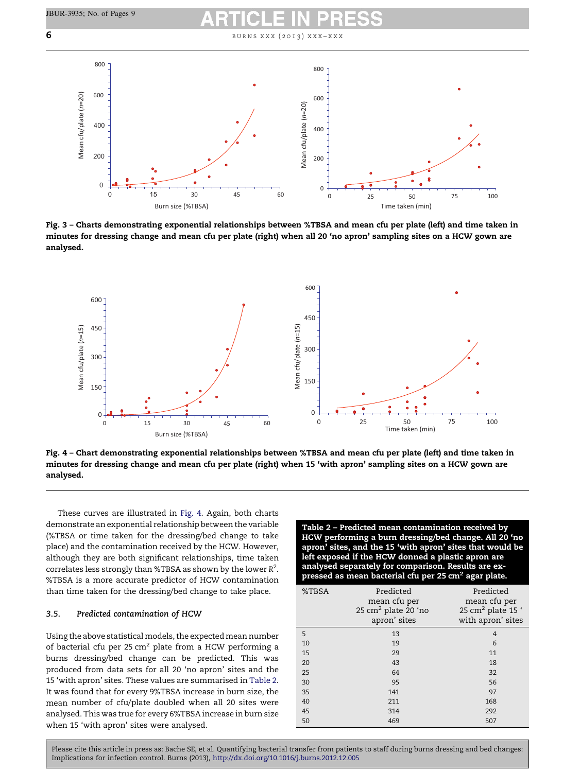<span id="page-5-0"></span>

Fig. 3 – Charts demonstrating exponential relationships between %TBSA and mean cfu per plate (left) and time taken in minutes for dressing change and mean cfu per plate (right) when all 20 'no apron' sampling sites on a HCW gown are analysed.



Fig. 4 – Chart demonstrating exponential relationships between %TBSA and mean cfu per plate (left) and time taken in minutes for dressing change and mean cfu per plate (right) when 15 'with apron' sampling sites on a HCW gown are analysed.

These curves are illustrated in Fig. 4. Again, both charts demonstrate an exponential relationship between the variable (%TBSA or time taken for the dressing/bed change to take place) and the contamination received by the HCW. However, although they are both significant relationships, time taken correlates less strongly than %TBSA as shown by the lower  $R^2$ . %TBSA is a more accurate predictor of HCW contamination than time taken for the dressing/bed change to take place.

# 3.5. Predicted contamination of HCW

Using the above statistical models, the expected mean number of bacterial cfu per 25  $\text{cm}^2$  plate from a HCW performing a burns dressing/bed change can be predicted. This was produced from data sets for all 20 'no apron' sites and the 15 'with apron' sites. These values are summarised in Table 2. It was found that for every 9%TBSA increase in burn size, the mean number of cfu/plate doubled when all 20 sites were analysed. This was true for every 6%TBSA increase in burn size when 15 'with apron' sites were analysed.

Table 2 – Predicted mean contamination received by HCW performing a burn dressing/bed change. All 20 'no apron' sites, and the 15 'with apron' sites that would be left exposed if the HCW donned a plastic apron are analysed separately for comparison. Results are expressed as mean bacterial cfu per 25 cm<sup>2</sup> agar plate.

| %TBSA | Predicted<br>mean cfu per<br>25 cm <sup>2</sup> plate 20 'no<br>apron' sites | Predicted<br>mean cfu per<br>25 cm <sup>2</sup> plate 15 '<br>with apron' sites |
|-------|------------------------------------------------------------------------------|---------------------------------------------------------------------------------|
| 5     | 13                                                                           | $\overline{4}$                                                                  |
| 10    | 19                                                                           | 6                                                                               |
| 15    | 29                                                                           | 11                                                                              |
| 20    | 43                                                                           | 18                                                                              |
| 25    | 64                                                                           | 32                                                                              |
| 30    | 95                                                                           | 56                                                                              |
| 35    | 141                                                                          | 97                                                                              |
| 40    | 211                                                                          | 168                                                                             |
| 45    | 314                                                                          | 292                                                                             |
| 50    | 469                                                                          | 507                                                                             |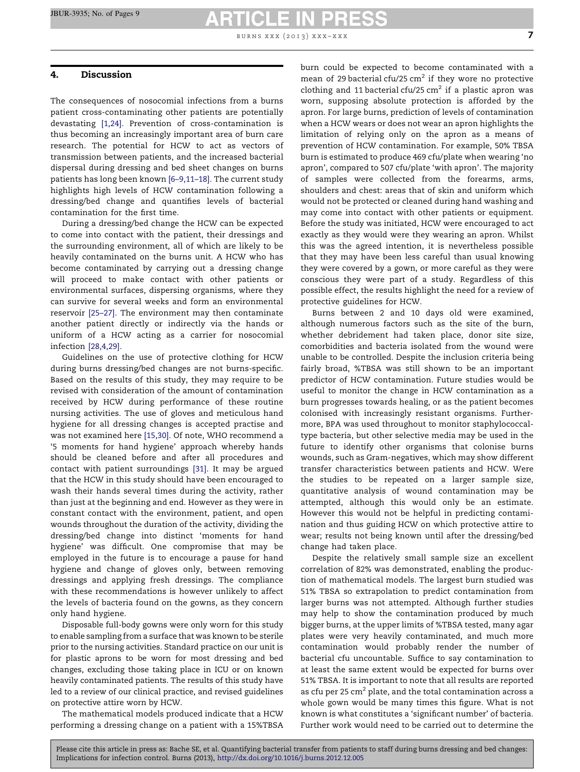$B \text{URNS XXX}$  (2013) XXX-XXX  $\overline{Z}$ 

### 4. Discussion

The consequences of nosocomial infections from a burns patient cross-contaminating other patients are potentially devastating [\[1,24\]](#page-7-0). Prevention of cross-contamination is thus becoming an increasingly important area of burn care research. The potential for HCW to act as vectors of transmission between patients, and the increased bacterial dispersal during dressing and bed sheet changes on burns patients has long been known [\[6–9,11–18\].](#page-7-0) The current study highlights high levels of HCW contamination following a dressing/bed change and quantifies levels of bacterial contamination for the first time.

During a dressing/bed change the HCW can be expected to come into contact with the patient, their dressings and the surrounding environment, all of which are likely to be heavily contaminated on the burns unit. A HCW who has become contaminated by carrying out a dressing change will proceed to make contact with other patients or environmental surfaces, dispersing organisms, where they can survive for several weeks and form an environmental reservoir [\[25–27\]](#page-8-0). The environment may then contaminate another patient directly or indirectly via the hands or uniform of a HCW acting as a carrier for nosocomial infection [\[28,4,29\]](#page-8-0).

Guidelines on the use of protective clothing for HCW during burns dressing/bed changes are not burns-specific. Based on the results of this study, they may require to be revised with consideration of the amount of contamination received by HCW during performance of these routine nursing activities. The use of gloves and meticulous hand hygiene for all dressing changes is accepted practise and was not examined here [\[15,30\]](#page-7-0). Of note, WHO recommend a '5 moments for hand hygiene' approach whereby hands should be cleaned before and after all procedures and contact with patient surroundings [\[31\]](#page-8-0). It may be argued that the HCW in this study should have been encouraged to wash their hands several times during the activity, rather than just at the beginning and end. However as they were in constant contact with the environment, patient, and open wounds throughout the duration of the activity, dividing the dressing/bed change into distinct 'moments for hand hygiene' was difficult. One compromise that may be employed in the future is to encourage a pause for hand hygiene and change of gloves only, between removing dressings and applying fresh dressings. The compliance with these recommendations is however unlikely to affect the levels of bacteria found on the gowns, as they concern only hand hygiene.

Disposable full-body gowns were only worn for this study to enable sampling from a surface that was known to be sterile prior to the nursing activities. Standard practice on our unit is for plastic aprons to be worn for most dressing and bed changes, excluding those taking place in ICU or on known heavily contaminated patients. The results of this study have led to a review of our clinical practice, and revised guidelines on protective attire worn by HCW.

The mathematical models produced indicate that a HCW performing a dressing change on a patient with a 15%TBSA burn could be expected to become contaminated with a mean of 29 bacterial cfu/25  $cm<sup>2</sup>$  if they wore no protective clothing and 11 bacterial cfu/25  $cm<sup>2</sup>$  if a plastic apron was worn, supposing absolute protection is afforded by the apron. For large burns, prediction of levels of contamination when a HCW wears or does not wear an apron highlights the limitation of relying only on the apron as a means of prevention of HCW contamination. For example, 50% TBSA burn is estimated to produce 469 cfu/plate when wearing 'no apron', compared to 507 cfu/plate 'with apron'. The majority of samples were collected from the forearms, arms, shoulders and chest: areas that of skin and uniform which would not be protected or cleaned during hand washing and may come into contact with other patients or equipment. Before the study was initiated, HCW were encouraged to act exactly as they would were they wearing an apron. Whilst this was the agreed intention, it is nevertheless possible that they may have been less careful than usual knowing they were covered by a gown, or more careful as they were conscious they were part of a study. Regardless of this possible effect, the results highlight the need for a review of protective guidelines for HCW.

Burns between 2 and 10 days old were examined, although numerous factors such as the site of the burn, whether debridement had taken place, donor site size, comorbidities and bacteria isolated from the wound were unable to be controlled. Despite the inclusion criteria being fairly broad, %TBSA was still shown to be an important predictor of HCW contamination. Future studies would be useful to monitor the change in HCW contamination as a burn progresses towards healing, or as the patient becomes colonised with increasingly resistant organisms. Furthermore, BPA was used throughout to monitor staphylococcaltype bacteria, but other selective media may be used in the future to identify other organisms that colonise burns wounds, such as Gram-negatives, which may show different transfer characteristics between patients and HCW. Were the studies to be repeated on a larger sample size, quantitative analysis of wound contamination may be attempted, although this would only be an estimate. However this would not be helpful in predicting contamination and thus guiding HCW on which protective attire to wear; results not being known until after the dressing/bed change had taken place.

Despite the relatively small sample size an excellent correlation of 82% was demonstrated, enabling the production of mathematical models. The largest burn studied was 51% TBSA so extrapolation to predict contamination from larger burns was not attempted. Although further studies may help to show the contamination produced by much bigger burns, at the upper limits of %TBSA tested, many agar plates were very heavily contaminated, and much more contamination would probably render the number of bacterial cfu uncountable. Suffice to say contamination to at least the same extent would be expected for burns over 51% TBSA. It is important to note that all results are reported as cfu per 25  $\text{cm}^2$  plate, and the total contamination across a whole gown would be many times this figure. What is not known is what constitutes a 'significant number' of bacteria. Further work would need to be carried out to determine the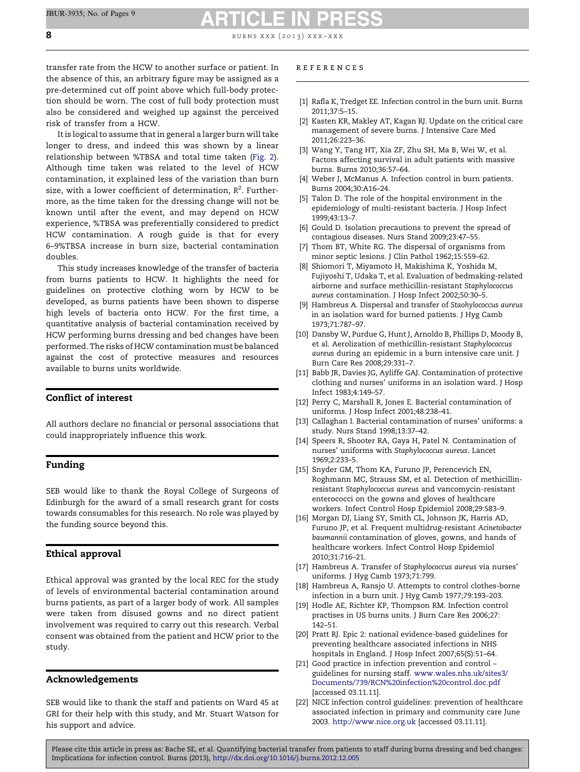<span id="page-7-0"></span>transfer rate from the HCW to another surface or patient. In the absence of this, an arbitrary figure may be assigned as a pre-determined cut off point above which full-body protection should be worn. The cost of full body protection must also be considered and weighed up against the perceived risk of transfer from a HCW.

It is logical to assume thatin general a larger burn will take longer to dress, and indeed this was shown by a linear relationship between %TBSA and total time taken ([Fig.](#page-3-0) 2). Although time taken was related to the level of HCW contamination, it explained less of the variation than burn size, with a lower coefficient of determination,  $R^2$ . Furthermore, as the time taken for the dressing change will not be known until after the event, and may depend on HCW experience, %TBSA was preferentially considered to predict HCW contamination. A rough guide is that for every 6–9%TBSA increase in burn size, bacterial contamination doubles.

This study increases knowledge of the transfer of bacteria from burns patients to HCW. It highlights the need for guidelines on protective clothing worn by HCW to be developed, as burns patients have been shown to disperse high levels of bacteria onto HCW. For the first time, a quantitative analysis of bacterial contamination received by HCW performing burns dressing and bed changes have been performed. The risks of HCW contamination must be balanced against the cost of protective measures and resources available to burns units worldwide.

# Conflict of interest

All authors declare no financial or personal associations that could inappropriately influence this work.

# Funding

SEB would like to thank the Royal College of Surgeons of Edinburgh for the award of a small research grant for costs towards consumables for this research. No role was played by the funding source beyond this.

# Ethical approval

Ethical approval was granted by the local REC for the study of levels of environmental bacterial contamination around burns patients, as part of a larger body of work. All samples were taken from disused gowns and no direct patient involvement was required to carry out this research. Verbal consent was obtained from the patient and HCW prior to the study.

# Acknowledgements

SEB would like to thank the staff and patients on Ward 45 at GRI for their help with this study, and Mr. Stuart Watson for his support and advice.

#### r e f e r e n c e s

- [1] Rafla K, Tredget EE. Infection control in the burn unit. Burns 2011;37:5–15.
- [2] Kasten KR, Makley AT, Kagan RJ. Update on the critical care management of severe burns. J Intensive Care Med 2011;26:223–36.
- [3] Wang Y, Tang HT, Xia ZF, Zhu SH, Ma B, Wei W, et al. Factors affecting survival in adult patients with massive burns. Burns 2010;36:57–64.
- [4] Weber J, McManus A. Infection control in burn patients. Burns 2004;30:A16–24.
- [5] Talon D. The role of the hospital environment in the epidemiology of multi-resistant bacteria. J Hosp Infect 1999;43:13–7.
- [6] Gould D. Isolation precautions to prevent the spread of contagious diseases. Nurs Stand 2009;23:47–55.
- Thom BT, White RG. The dispersal of organisms from minor septic lesions. J Clin Pathol 1962;15:559–62.
- [8] Shiomori T, Miyamoto H, Makishima K, Yoshida M, Fujiyoshi T, Udaka T, et al. Evaluation of bedmaking-related airborne and surface methicillin-resistant Staphylococcus aureus contamination. J Hosp Infect 2002;50:30–5.
- [9] Hambreus A. Dispersal and transfer of Staohylococcus aureus in an isolation ward for burned patients. J Hyg Camb 1973;71:787–97.
- [10] Dansby W, Purdue G, Hunt J, Arnoldo B, Phillips D, Moody B, et al. Aerolization of methicillin-resistant Staphylococcus aureus during an epidemic in a burn intensive care unit. J Burn Care Res 2008;29:331–7.
- [11] Babb JR, Davies JG, Ayliffe GAJ. Contamination of protective clothing and nurses' uniforms in an isolation ward. J Hosp Infect 1983;4:149–57.
- [12] Perry C, Marshall R, Jones E. Bacterial contamination of uniforms. J Hosp Infect 2001;48:238–41.
- [13] Callaghan I. Bacterial contamination of nurses' uniforms: a study. Nurs Stand 1998;13:37–42.
- [14] Speers R, Shooter RA, Gaya H, Patel N. Contamination of nurses' uniforms with Staphylococcus aureus. Lancet 1969;2:233–5.
- [15] Snyder GM, Thom KA, Furuno JP, Perencevich EN, Roghmann MC, Strauss SM, et al. Detection of methicillinresistant Staphylococcus aureus and vancomycin-resistant enterococci on the gowns and gloves of healthcare workers. Infect Control Hosp Epidemiol 2008;29:583–9.
- [16] Morgan DJ, Liang SY, Smith CL, Johnson JK, Harris AD, Furuno JP, et al. Frequent multidrug-resistant Acinetobacter baumannii contamination of gloves, gowns, and hands of healthcare workers. Infect Control Hosp Epidemiol 2010;31:716–21.
- [17] Hambreus A. Transfer of Staphylococcus aureus via nurses' uniforms. J Hyg Camb 1973;71:799.
- [18] Hambreus A, Ransjo U. Attempts to control clothes-borne infection in a burn unit. J Hyg Camb 1977;79:193–203.
- [19] Hodle AE, Richter KP, Thompson RM. Infection control practises in US burns units. J Burn Care Res 2006;27: 142–51.
- [20] Pratt RJ. Epic 2: national evidence-based guidelines for preventing healthcare associated infections in NHS hospitals in England. J Hosp Infect 2007;65(S):51–64.
- [21] Good practice in infection prevention and control guidelines for nursing staff. [www.wales.nhs.uk/sites3/](http://www.wales.nhs.uk/sites3/Documents/739/RCN%20infection%20control.doc.pdf) [Documents/739/RCN%20infection%20control.doc.pdf](http://www.wales.nhs.uk/sites3/Documents/739/RCN%20infection%20control.doc.pdf) [\[accessed](http://www.wales.nhs.uk/sites3/Documents/739/RCN%20infection%20control.doc.pdf) 03.11.11].
- [22] NICE infection control guidelines: prevention of healthcare associated infection in primary and community care June 2003. [http://www.nice.org.uk](http://www.nice.org.uk/) [accessed 03.11.11].